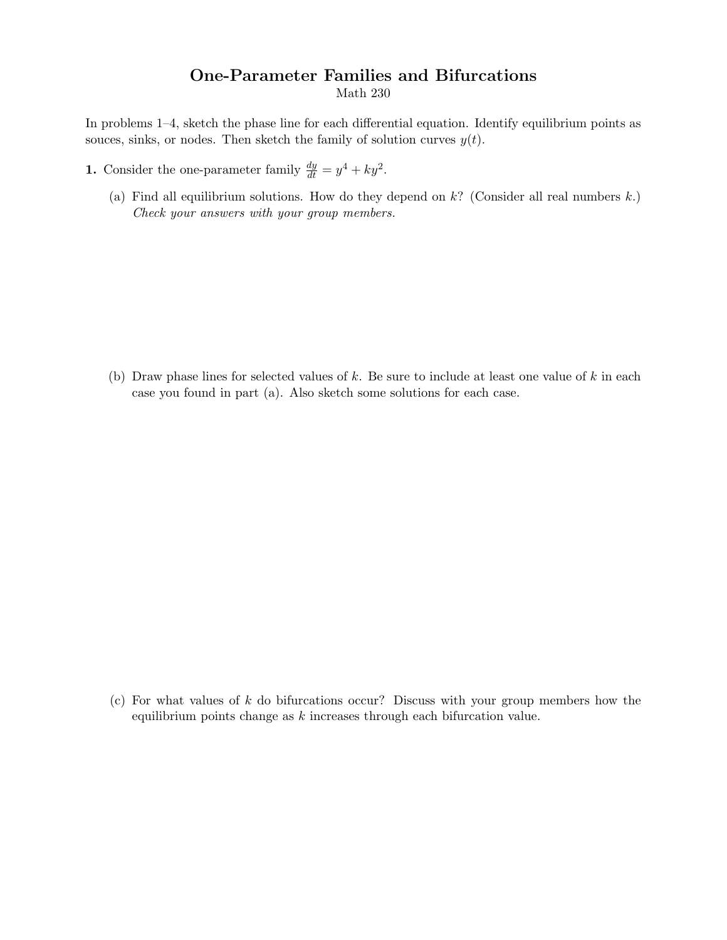## One-Parameter Families and Bifurcations

Math 230

In problems 1–4, sketch the phase line for each differential equation. Identify equilibrium points as souces, sinks, or nodes. Then sketch the family of solution curves  $y(t)$ .

- **1.** Consider the one-parameter family  $\frac{dy}{dt} = y^4 + ky^2$ .
	- (a) Find all equilibrium solutions. How do they depend on  $k$ ? (Consider all real numbers  $k$ .) Check your answers with your group members.

(b) Draw phase lines for selected values of  $k$ . Be sure to include at least one value of  $k$  in each case you found in part (a). Also sketch some solutions for each case.

(c) For what values of  $k$  do bifurcations occur? Discuss with your group members how the equilibrium points change as k increases through each bifurcation value.